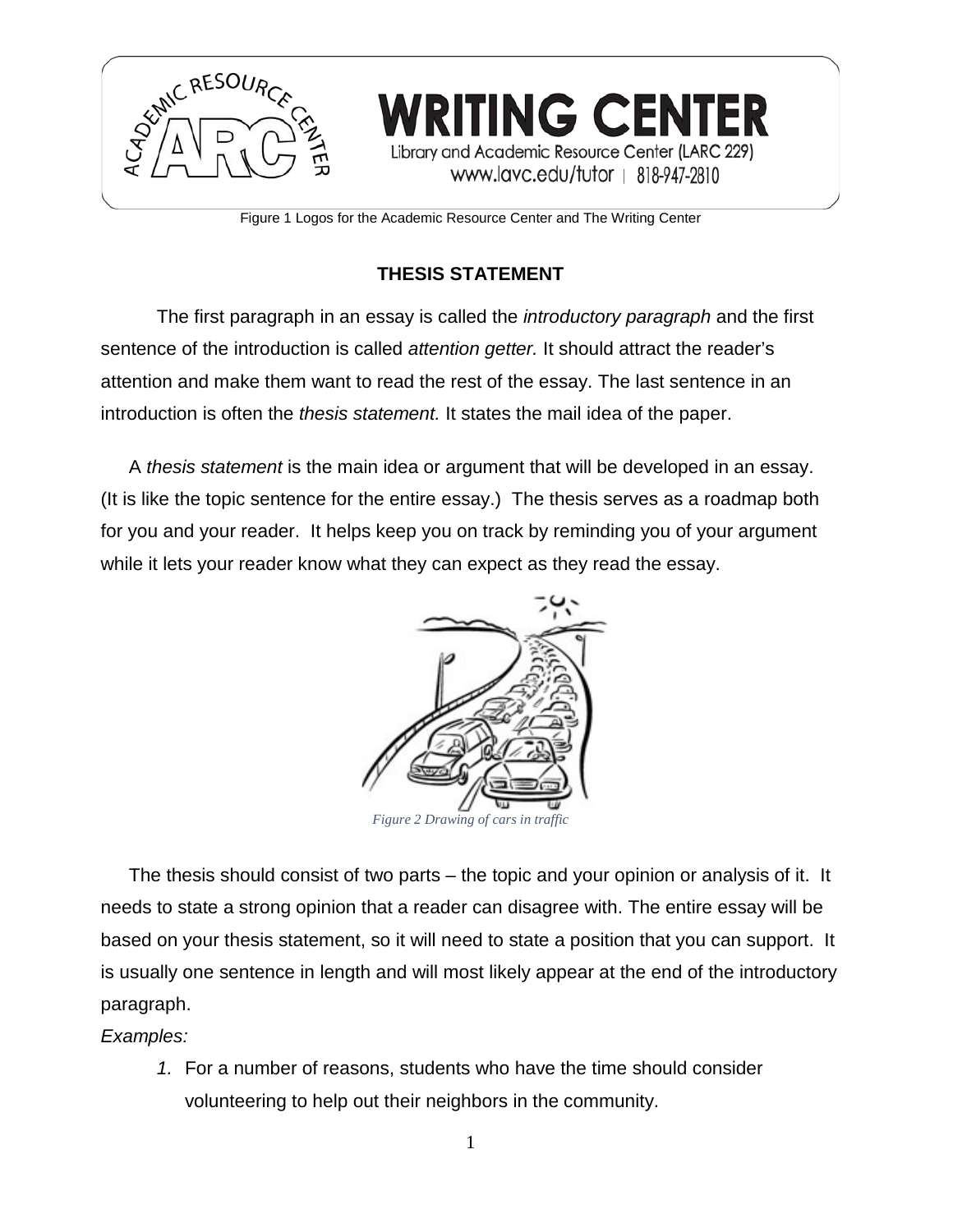

Figure 1 Logos for the Academic Resource Center and The Writing Center

## **THESIS STATEMENT**

The first paragraph in an essay is called the *introductory paragraph* and the first sentence of the introduction is called *attention getter.* It should attract the reader's attention and make them want to read the rest of the essay. The last sentence in an introduction is often the *thesis statement.* It states the mail idea of the paper.

A *thesis statement* is the main idea or argument that will be developed in an essay. (It is like the topic sentence for the entire essay.) The thesis serves as a roadmap both for you and your reader. It helps keep you on track by reminding you of your argument while it lets your reader know what they can expect as they read the essay.



The thesis should consist of two parts – the topic and your opinion or analysis of it. It needs to state a strong opinion that a reader can disagree with. The entire essay will be based on your thesis statement, so it will need to state a position that you can support. It is usually one sentence in length and will most likely appear at the end of the introductory paragraph.

#### *Examples:*

*1.* For a number of reasons, students who have the time should consider volunteering to help out their neighbors in the community.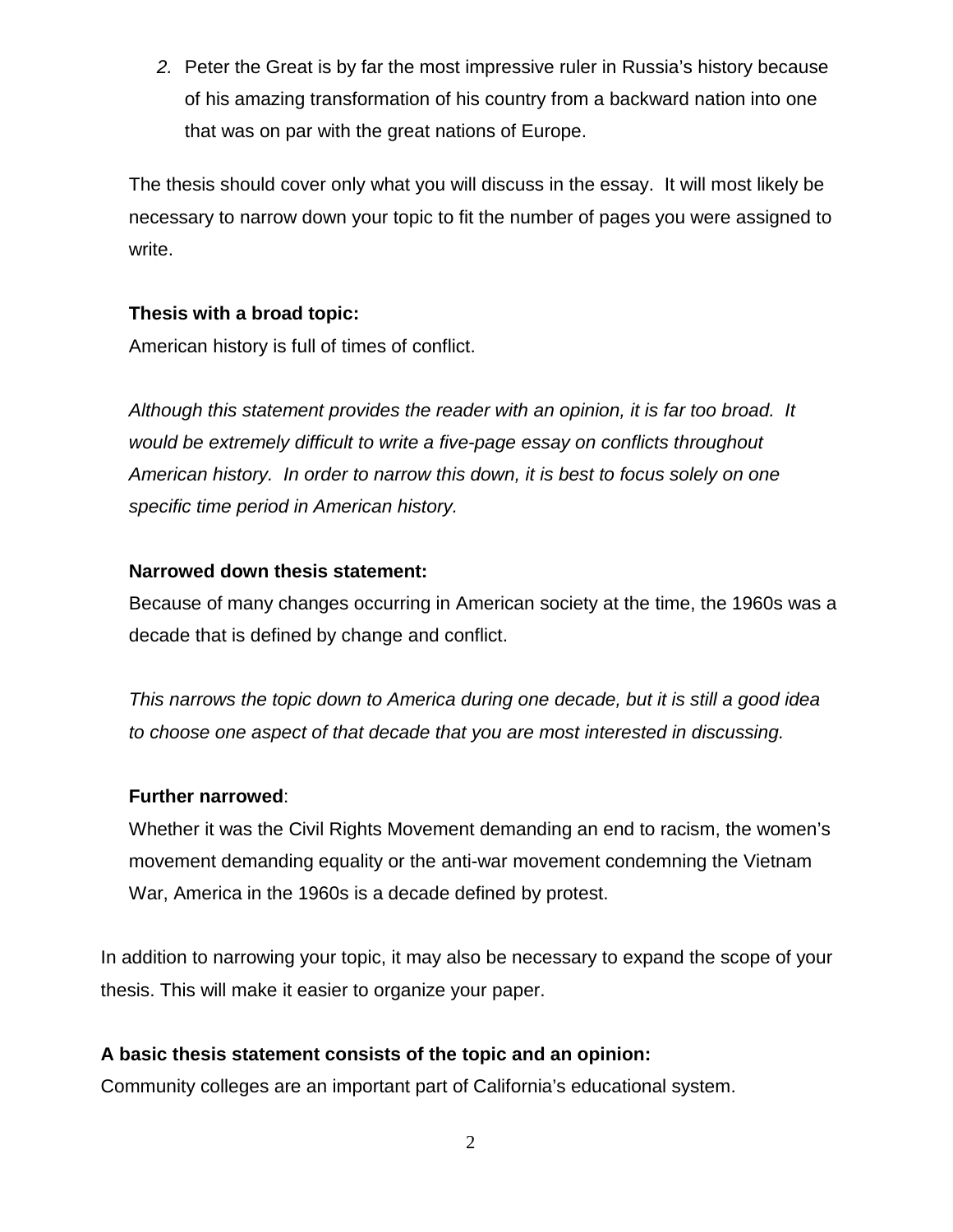*2.* Peter the Great is by far the most impressive ruler in Russia's history because of his amazing transformation of his country from a backward nation into one that was on par with the great nations of Europe.

The thesis should cover only what you will discuss in the essay. It will most likely be necessary to narrow down your topic to fit the number of pages you were assigned to write.

#### **Thesis with a broad topic:**

American history is full of times of conflict.

*Although this statement provides the reader with an opinion, it is far too broad. It would be extremely difficult to write a five-page essay on conflicts throughout American history. In order to narrow this down, it is best to focus solely on one specific time period in American history.*

#### **Narrowed down thesis statement:**

Because of many changes occurring in American society at the time, the 1960s was a decade that is defined by change and conflict.

*This narrows the topic down to America during one decade, but it is still a good idea to choose one aspect of that decade that you are most interested in discussing.*

#### **Further narrowed**:

Whether it was the Civil Rights Movement demanding an end to racism, the women's movement demanding equality or the anti-war movement condemning the Vietnam War, America in the 1960s is a decade defined by protest.

In addition to narrowing your topic, it may also be necessary to expand the scope of your thesis. This will make it easier to organize your paper.

### **A basic thesis statement consists of the topic and an opinion:**

Community colleges are an important part of California's educational system.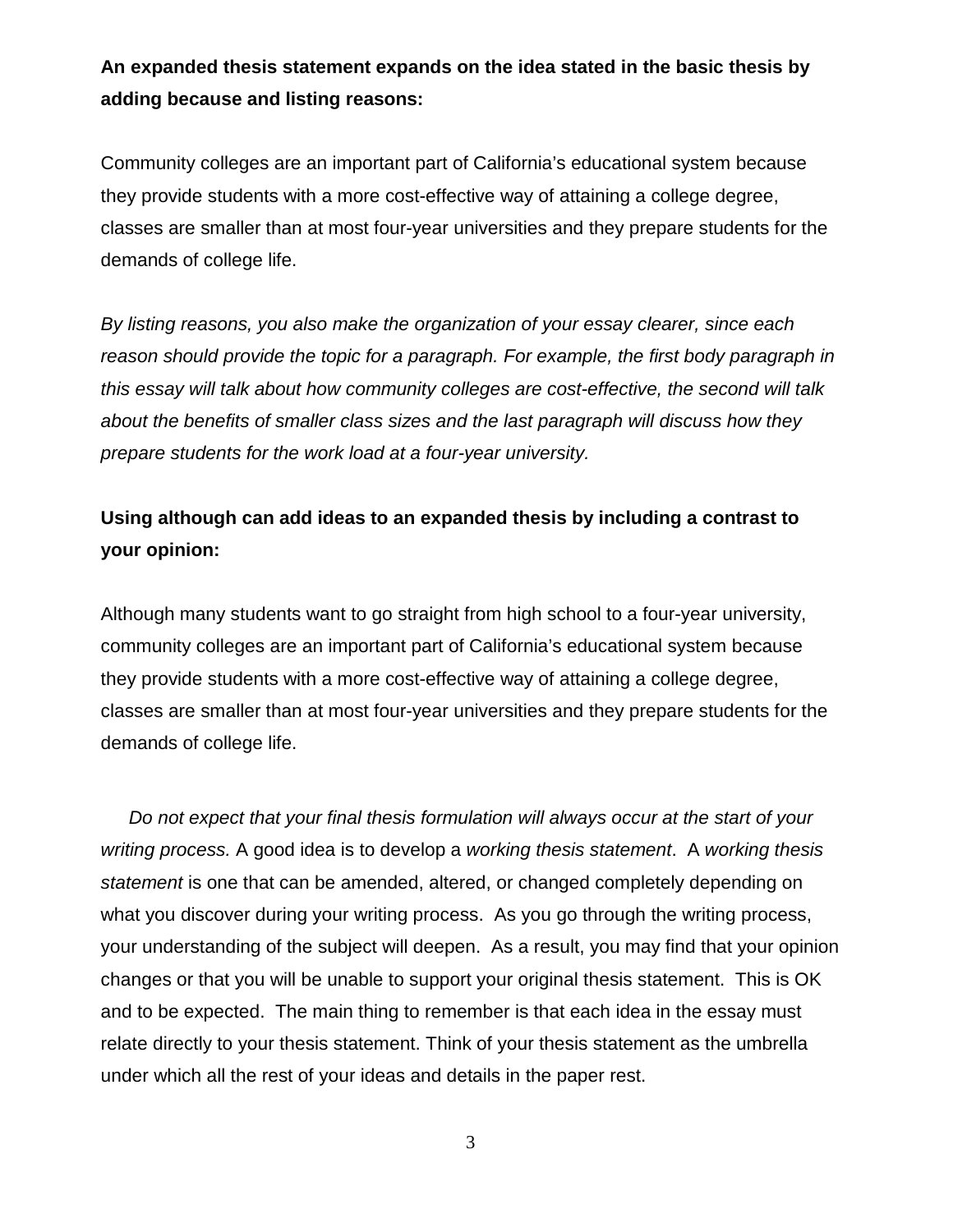## **An expanded thesis statement expands on the idea stated in the basic thesis by adding because and listing reasons:**

Community colleges are an important part of California's educational system because they provide students with a more cost-effective way of attaining a college degree, classes are smaller than at most four-year universities and they prepare students for the demands of college life.

*By listing reasons, you also make the organization of your essay clearer, since each*  reason should provide the topic for a paragraph. For example, the first body paragraph in *this essay will talk about how community colleges are cost-effective, the second will talk about the benefits of smaller class sizes and the last paragraph will discuss how they prepare students for the work load at a four-year university.*

# **Using although can add ideas to an expanded thesis by including a contrast to your opinion:**

Although many students want to go straight from high school to a four-year university, community colleges are an important part of California's educational system because they provide students with a more cost-effective way of attaining a college degree, classes are smaller than at most four-year universities and they prepare students for the demands of college life.

*Do not expect that your final thesis formulation will always occur at the start of your writing process.* A good idea is to develop a *working thesis statement*. A *working thesis statement* is one that can be amended, altered, or changed completely depending on what you discover during your writing process. As you go through the writing process, your understanding of the subject will deepen. As a result, you may find that your opinion changes or that you will be unable to support your original thesis statement. This is OK and to be expected. The main thing to remember is that each idea in the essay must relate directly to your thesis statement. Think of your thesis statement as the umbrella under which all the rest of your ideas and details in the paper rest.

3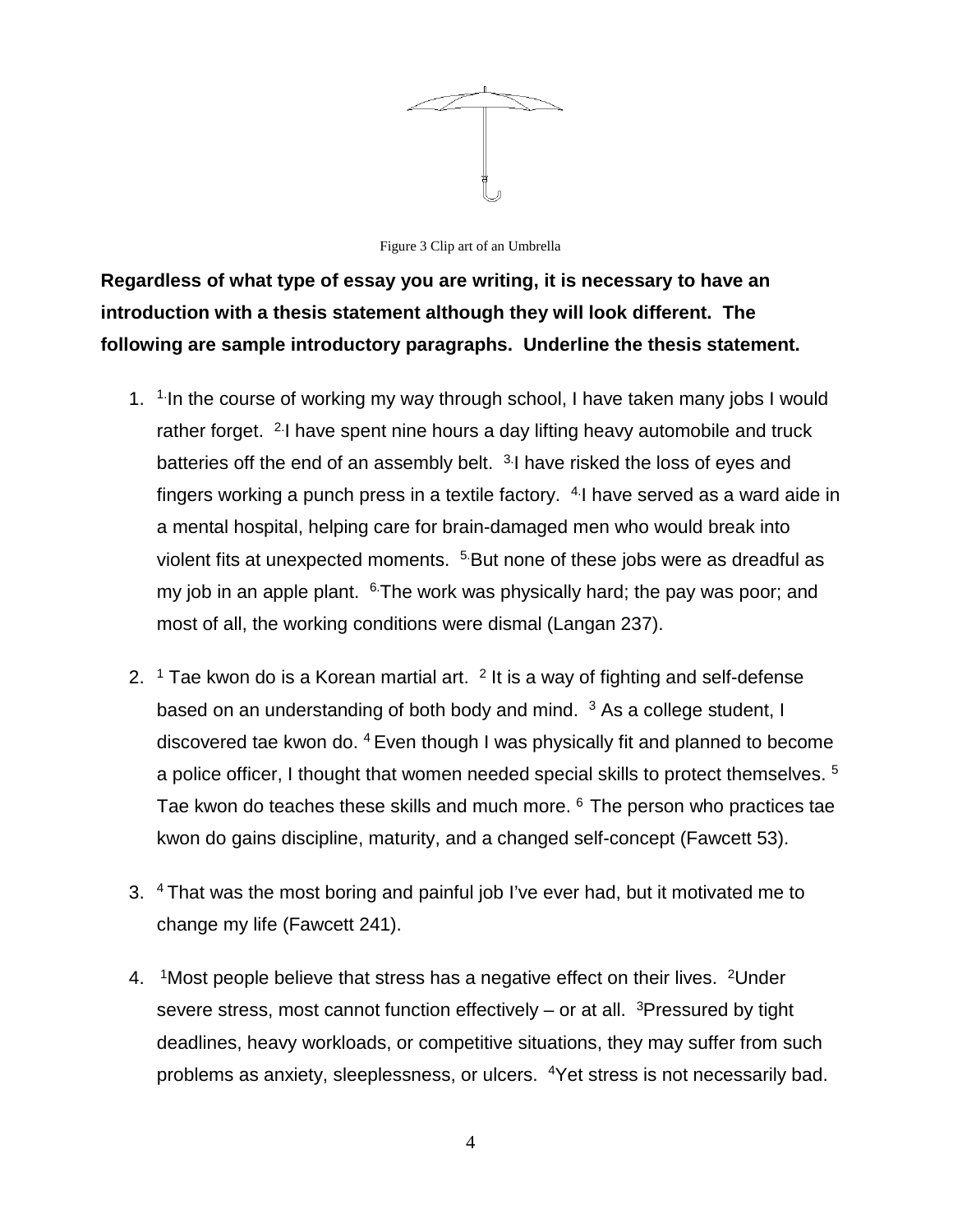

Figure 3 Clip art of an Umbrella

**Regardless of what type of essay you are writing, it is necessary to have an introduction with a thesis statement although they will look different. The following are sample introductory paragraphs. Underline the thesis statement.**

- 1.  $1.1$  in the course of working my way through school, I have taken many jobs I would rather forget. <sup>2.</sup> I have spent nine hours a day lifting heavy automobile and truck batteries off the end of an assembly belt. <sup>3.</sup>I have risked the loss of eyes and fingers working a punch press in a textile factory.  $4$ -I have served as a ward aide in a mental hospital, helping care for brain-damaged men who would break into violent fits at unexpected moments. 5.But none of these jobs were as dreadful as my job in an apple plant.  $6$ The work was physically hard; the pay was poor; and most of all, the working conditions were dismal (Langan 237).
- 2.  $1$  Tae kwon do is a Korean martial art.  $2$  It is a way of fighting and self-defense based on an understanding of both body and mind.  $3$  As a college student, I discovered tae kwon do. 4 Even though I was physically fit and planned to become a police officer, I thought that women needed special skills to protect themselves. 5 Tae kwon do teaches these skills and much more. <sup>6</sup> The person who practices tae kwon do gains discipline, maturity, and a changed self-concept (Fawcett 53).
- 3. 4 That was the most boring and painful job I've ever had, but it motivated me to change my life (Fawcett 241).
- 4. <sup>1</sup> Most people believe that stress has a negative effect on their lives. <sup>2</sup> Under severe stress, most cannot function effectively – or at all. <sup>3</sup>Pressured by tight deadlines, heavy workloads, or competitive situations, they may suffer from such problems as anxiety, sleeplessness, or ulcers. 4Yet stress is not necessarily bad.